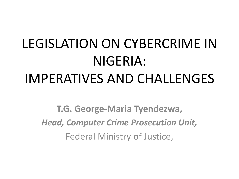# LEGISLATION ON CYBERCRIME IN NIGERIA: IMPERATIVES AND CHALLENGES

**T.G. George-Maria Tyendezwa,** *Head, Computer Crime Prosecution Unit,* Federal Ministry of Justice,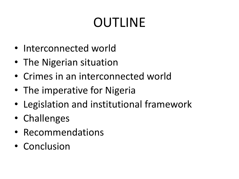## OUTLINE

- Interconnected world
- The Nigerian situation
- Crimes in an interconnected world
- The imperative for Nigeria
- Legislation and institutional framework
- Challenges
- Recommendations
- Conclusion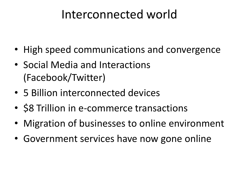#### Interconnected world

- High speed communications and convergence
- Social Media and Interactions (Facebook/Twitter)
- 5 Billion interconnected devices
- **\$8 Trillion in e-commerce transactions**
- Migration of businesses to online environment
- Government services have now gone online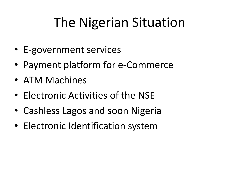## The Nigerian Situation

- E-government services
- Payment platform for e-Commerce
- ATM Machines
- Electronic Activities of the NSE
- Cashless Lagos and soon Nigeria
- Electronic Identification system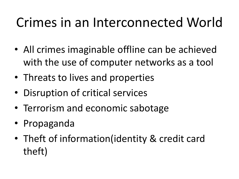## Crimes in an Interconnected World

- All crimes imaginable offline can be achieved with the use of computer networks as a tool
- Threats to lives and properties
- Disruption of critical services
- Terrorism and economic sabotage
- Propaganda
- Theft of information(identity & credit card theft)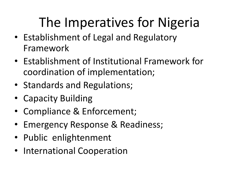## The Imperatives for Nigeria

- Establishment of Legal and Regulatory Framework
- Establishment of Institutional Framework for coordination of implementation;
- Standards and Regulations;
- Capacity Building
- Compliance & Enforcement;
- Emergency Response & Readiness;
- Public enlightenment
- International Cooperation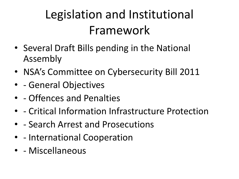## Legislation and Institutional Framework

- Several Draft Bills pending in the National Assembly
- NSA's Committee on Cybersecurity Bill 2011
- - General Objectives
- - Offences and Penalties
- - Critical Information Infrastructure Protection
- - Search Arrest and Prosecutions
- - International Cooperation
- - Miscellaneous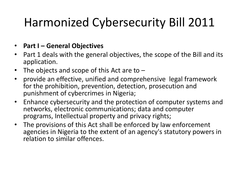#### • **Part I – General Objectives**

- Part 1 deals with the general objectives, the scope of the Bill and its application.
- The objects and scope of this Act are to  $-$
- provide an effective, unified and comprehensive legal framework for the prohibition, prevention, detection, prosecution and punishment of cybercrimes in Nigeria;
- Enhance cybersecurity and the protection of computer systems and networks, electronic communications; data and computer programs, Intellectual property and privacy rights;
- The provisions of this Act shall be enforced by law enforcement agencies in Nigeria to the extent of an agency's statutory powers in relation to similar offences.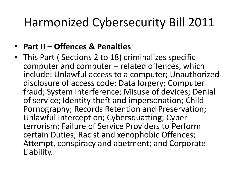- **Part II – Offences & Penalties**
- This Part ( Sections 2 to 18) criminalizes specific computer and computer – related offences, which include: Unlawful access to a computer; Unauthorized disclosure of access code; Data forgery; Computer fraud; System interference; Misuse of devices; Denial of service; Identity theft and impersonation; Child Pornography; Records Retention and Preservation; Unlawful Interception; Cybersquatting; Cyber- terrorism; Failure of Service Providers to Perform certain Duties; Racist and xenophobic Offences; Attempt, conspiracy and abetment; and Corporate Liability.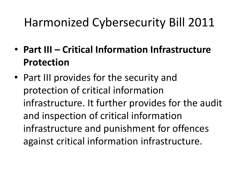- **Part III – Critical Information Infrastructure Protection**
- Part III provides for the security and protection of critical information infrastructure. It further provides for the audit and inspection of critical information infrastructure and punishment for offences against critical information infrastructure.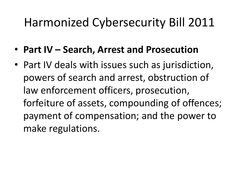- **Part IV – Search, Arrest and Prosecution**
- Part IV deals with issues such as jurisdiction, powers of search and arrest, obstruction of law enforcement officers, prosecution, forfeiture of assets, compounding of offences; payment of compensation; and the power to make regulations.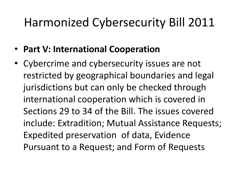- **Part V: International Cooperation**
- Cybercrime and cybersecurity issues are not restricted by geographical boundaries and legal jurisdictions but can only be checked through international cooperation which is covered in Sections 29 to 34 of the Bill. The issues covered include: Extradition; Mutual Assistance Requests; Expedited preservation of data, Evidence Pursuant to a Request; and Form of Requests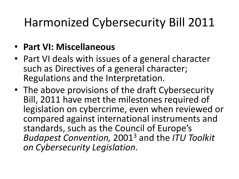#### • **Part VI: Miscellaneous**

- Part VI deals with issues of a general character such as Directives of a general character; Regulations and the Interpretation.
- The above provisions of the draft Cybersecurity Bill, 2011 have met the milestones required of legislation on cybercrime, even when reviewed or compared against international instruments and standards, such as the Council of Europe's *Budapest Convention,* 20013 and the *ITU Toolkit on Cybersecurity Legislation.*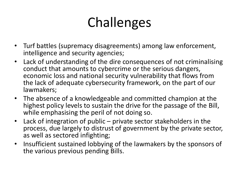## Challenges

- Turf battles (supremacy disagreements) among law enforcement, intelligence and security agencies;
- Lack of understanding of the dire consequences of not criminalising conduct that amounts to cybercrime or the serious dangers, economic loss and national security vulnerability that flows from the lack of adequate cybersecurity framework, on the part of our lawmakers;
- The absence of a knowledgeable and committed champion at the highest policy levels to sustain the drive for the passage of the Bill, while emphasising the peril of not doing so.
- Lack of integration of public private sector stakeholders in the process, due largely to distrust of government by the private sector, as well as sectored infighting;
- Insufficient sustained lobbying of the lawmakers by the sponsors of the various previous pending Bills.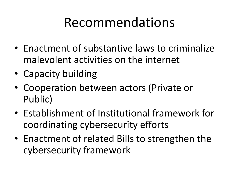## Recommendations

- Enactment of substantive laws to criminalize malevolent activities on the internet
- Capacity building
- Cooperation between actors (Private or Public)
- Establishment of Institutional framework for coordinating cybersecurity efforts
- Enactment of related Bills to strengthen the cybersecurity framework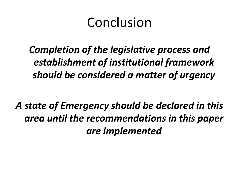#### Conclusion

*Completion of the legislative process and establishment of institutional framework should be considered a matter of urgency*

*A state of Emergency should be declared in this area until the recommendations in this paper are implemented*